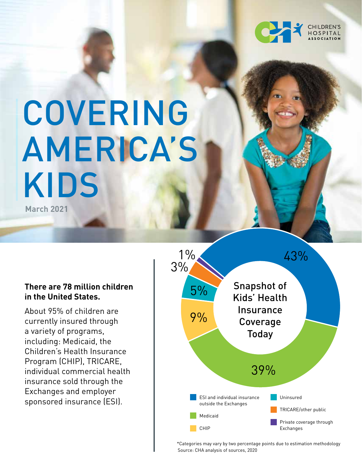

# COVERING AMERICA'S KIDS **March 2021**

#### **There are 78 million children in the United States.**

About 95% of children are currently insured through a variety of programs, including: Medicaid, the Children's Health Insurance Program (CHIP), TRICARE, individual commercial health insurance sold through the Exchanges and employer sponsored insurance (ESI).



\*Categories may vary by two percentage points due to estimation methodology Source: CHA analysis of sources, 2020